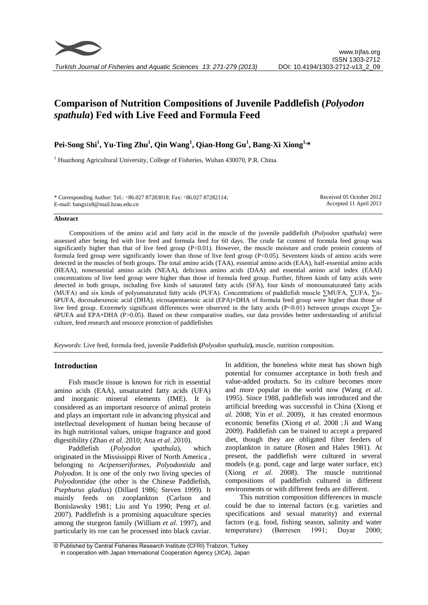

# **Comparison of Nutrition Compositions of Juvenile Paddlefish (***Polyodon spathula***) Fed with Live Feed and Formula Feed**

## **Pei-Song Shi<sup>1</sup> , Yu-Ting Zhu<sup>1</sup> , Qin Wang<sup>1</sup> , Qian-Hong Gu<sup>1</sup> , Bang-Xi Xiong1, \***

<sup>1</sup> Huazhong Agricultural University, College of Fisheries, Wuhan 430070, P.R. China.

\* Corresponding Author: Tel.: +86.027 87283018; Fax: +86.027 87282114; E-mail: bangxix8@mail.hzau.edu.cn

Received 05 October 2012 Accepted 11 April 2013

#### **Abstract**

Compositions of the amino acid and fatty acid in the muscle of the juvenile paddlefish (*Polyodon spathula*) were assessed after being fed with live feed and formula feed for 60 days. The crude fat content of formula feed group was significantly higher than that of live feed group  $(P<0.01)$ . However, the muscle moisture and crude protein contents of formula feed group were significantly lower than those of live feed group  $(P<0.05)$ . Seventeen kinds of amino acids were detected in the muscles of both groups. The total amino acids (TAA), essential amino acids (EAA), half-essential amino acids (HEAA), nonessential amino acids (NEAA), delicious amino acids (DAA) and essential amino acid index (EAAI) concentrations of live feed group were higher than those of formula feed group. Further, fifteen kinds of fatty acids were detected in both groups, including five kinds of saturated fatty acids (SFA), four kinds of monounsaturated fatty acids (MUFA) and six kinds of polyunsaturated fatty acids (PUFA). Concentrations of paddlefish muscle ∑MUFA, ∑UFA, ∑n-6PUFA, docosahexenoic acid (DHA), eicosapentaenoic acid (EPA)+DHA of formula feed group were higher than those of live feed group. Extremely significant differences were observed in the fatty acids (P<0.01) between groups except ∑n-6PUFA and EPA+DHA (P>0.05). Based on these comparative studies, our data provides better understanding of artificial culture, feed research and resource protection of paddlefishes

*Keywords*: Live feed, formula feed, juvenile Paddlefish **(***Polyodon spathula***),** muscle, nutrition composition.

## **Introduction**

Fish muscle tissue is known for rich in essential amino acids (EAA), unsaturated fatty acids (UFA) and inorganic mineral elements (IME). It is considered as an important resource of animal protein and plays an important role in advancing physical and intellectual development of human being because of its high nutritional values, unique fragrance and good digestibility (Zhao *et al*. 2010; Ana *et al*. 2010).

Paddlefish (*Polyodon spathula*), which originated in the Mississippi River of North America , belonging to *Acipenseriformes*, *Polyodontida* and *Polyodon*. It is one of the only two living species of *Polyodontidae* (the other is the Chinese Paddlefish, *Psephurus gladius*) (Dillard 1986; Steven 1999). It mainly feeds on zooplankton (Carlson and Bonislawsky 1981; Liu and Yu 1990; Peng *et al*. 2007). Paddlefish is a promising aquaculture species among the sturgeon family (William *et al*. 1997), and particularly its roe can be processed into black caviar.

In addition, the boneless white meat has shown high potential for consumer acceptance in both fresh and value-added products. So its culture becomes more and more popular in the world now (Wang *et al*. 1995). Since 1988, paddlefish was introduced and the artificial breeding was successful in China (Xiong *et al*. 2008; Yin *et al*. 2009), it has created enormous economic benefits (Xiong *et al.* 2008; Ji and Wang 2009). Paddlefish can be trained to accept a prepared diet, though they are obligated filter feeders of zooplankton in nature (Rosen and Hales 1981). At present, the paddlefish were cultured in several models (e.g. pond, cage and large water surface, etc) (Xiong *et al*. 2008). The muscle nutritional compositions of paddlefish cultured in different environments or with different feeds are different.

This nutrition composition differences in muscle could be due to internal factors (e.g. varieties and specifications and sexual maturity) and external factors (e.g. food, fishing season, salinity and water temperature) (Børresen 1991; Duyar 2000;

<sup>©</sup> Published by Central Fisheries Research Institute (CFRI) Trabzon, Turkey in cooperation with Japan International Cooperation Agency (JICA), Japan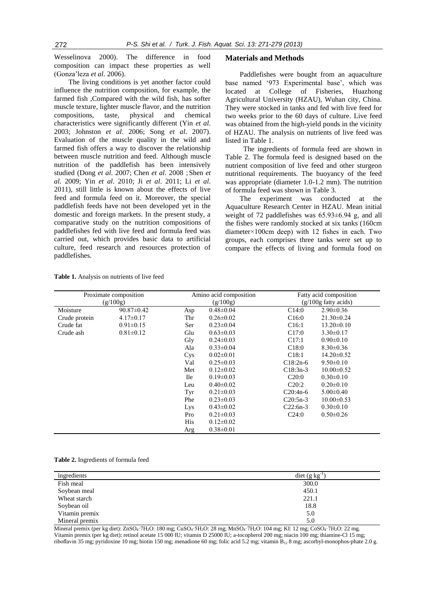Wesselinova 2000). The difference in food composition can impact these properties as well (Gonza'leza *et al*. 2006).

The living conditions is yet another factor could influence the nutrition composition, for example, the farmed fish ,Compared with the wild fish, has softer muscle texture, lighter muscle flavor, and the nutrition compositions, taste, physical and chemical characteristics were significantly different (Yin *et al*. 2003; Johnston *et al*. 2006; Song *et al*. 2007). Evaluation of the muscle quality in the wild and farmed fish offers a way to discover the relationship between muscle nutrition and feed. Although muscle nutrition of the paddlefish has been intensively studied (Dong *et al.* 2007; Chen *et al.* 2008; Shen *et al*. 2009; Yin *et al*. 2010; Ji *et al*. 2011; Li *et al*. 2011), still little is known about the effects of live feed and formula feed on it. Moreover, the special paddlefish feeds have not been developed yet in the domestic and foreign markets. In the present study, a comparative study on the nutrition compositions of paddlefishes fed with live feed and formula feed was carried out, which provides basic data to artificial culture, feed research and resources protection of paddlefishes.

#### **Materials and Methods**

Paddlefishes were bought from an aquaculture base named '973 Experimental base', which was located at College of Fisheries, Huazhong Agricultural University (HZAU), Wuhan city, China. They were stocked in tanks and fed with live feed for two weeks prior to the 60 days of culture. Live feed was obtained from the high-yield ponds in the vicinity of HZAU. The analysis on nutrients of live feed was listed in Table 1.

The ingredients of formula feed are shown in Table 2. The formula feed is designed based on the nutrient composition of live feed and other sturgeon nutritional requirements. The buoyancy of the feed was appropriate (diameter 1.0-1.2 mm). The nutrition of formula feed was shown in Table 3.

The experiment was conducted at the Aquaculture Research Center in HZAU. Mean initial weight of 72 paddlefishes was 65.93±6.94 g, and all the fishes were randomly stocked at six tanks (160cm diameter×100cm deep) with 12 fishes in each. Two groups, each comprises three tanks were set up to compare the effects of living and formula food on

| Proximate composition |                  | Amino acid composition |                 |                   | Fatty acid composition |  |
|-----------------------|------------------|------------------------|-----------------|-------------------|------------------------|--|
| (g/100g)              |                  |                        | (g/100g)        |                   | $(g/100g$ fatty acids) |  |
| Moisture              | $90.87 \pm 0.42$ | Asp                    | $0.48 \pm 0.04$ | C14:0             | $2.90 \pm 0.36$        |  |
| Crude protein         | $4.17 \pm 0.17$  | Thr                    | $0.26 \pm 0.02$ | C16:0             | $21.30\pm0.24$         |  |
| Crude fat             | $0.91 \pm 0.15$  | Ser                    | $0.23 \pm 0.04$ | C16:1             | $13.20 \pm 0.10$       |  |
| Crude ash             | $0.81 \pm 0.12$  | Glu                    | $0.63 \pm 0.03$ | C <sub>17:0</sub> | $3.30\pm0.17$          |  |
|                       |                  | Gly                    | $0.24 \pm 0.03$ | C17:1             | $0.90 \pm 0.10$        |  |
|                       |                  | Ala                    | $0.33 \pm 0.04$ | C18:0             | $8.30\pm0.36$          |  |
|                       |                  | Cys                    | $0.02 \pm 0.01$ | C18:1             | $14.20 \pm 0.52$       |  |
|                       |                  | Val                    | $0.25 \pm 0.03$ | $C18:2n-6$        | $9.50 \pm 0.10$        |  |
|                       |                  | Met                    | $0.12 \pm 0.02$ | $C18:3n-3$        | $10.00 \pm 0.52$       |  |
|                       |                  | <b>Ile</b>             | $0.19 \pm 0.03$ | C20:0             | $0.30 \pm 0.10$        |  |
|                       |                  | Leu                    | $0.40 \pm 0.02$ | C20:2             | $0.20 \pm 0.10$        |  |
|                       |                  | Tyr                    | $0.21 \pm 0.03$ | $C20:4n-6$        | $5.00 \pm 0.40$        |  |
|                       |                  | Phe                    | $0.23 \pm 0.03$ | $C20:5n-3$        | $10.00 \pm 0.53$       |  |
|                       |                  | Lys                    | $0.43 \pm 0.02$ | $C22:6n-3$        | $0.30 \pm 0.10$        |  |
|                       |                  | Pro                    | $0.21 \pm 0.03$ | C24:0             | $0.50 \pm 0.26$        |  |
|                       |                  | His                    | $0.12 \pm 0.02$ |                   |                        |  |
|                       |                  | Arg                    | $0.38 \pm 0.01$ |                   |                        |  |

**Table 1.** Analysis on nutrients of live feed

**Table 2.** Ingredients of formula feed

| ingredients    | diet $(g \text{ kg}^{-1})$ |
|----------------|----------------------------|
| Fish meal      | 300.0                      |
| Soybean meal   | 450.1                      |
| Wheat starch   | 221.1                      |
| Soybean oil    | 18.8                       |
| Vitamin premix | 5.0                        |
| Mineral premix | 5.0                        |

Mineral premix (per kg diet):  $ZnSO_4$ <sup>-7</sup>H<sub>2</sub>O: 180 mg; CuSO<sub>4</sub>·5H<sub>2</sub>O: 28 mg; MnSO<sub>4</sub>·7H<sub>2</sub>O: 104 mg; KI: 12 mg; CoSO<sub>4</sub>·7H<sub>2</sub>O: 22 mg. Vitamin premix (per kg diet): retinol acetate 15 000 IU; vitamin D 25000 IU; a-tocopherol 200 mg; niacin 100 mg; thiamine-Cl 15 mg; riboflavin 35 mg; pyridoxine 10 mg; biotin 150 mg; menadione 60 mg; folic acid 5.2 mg; vitamin B<sub>12</sub> 8 mg; ascorbyl-monophos-phate 2.0 g.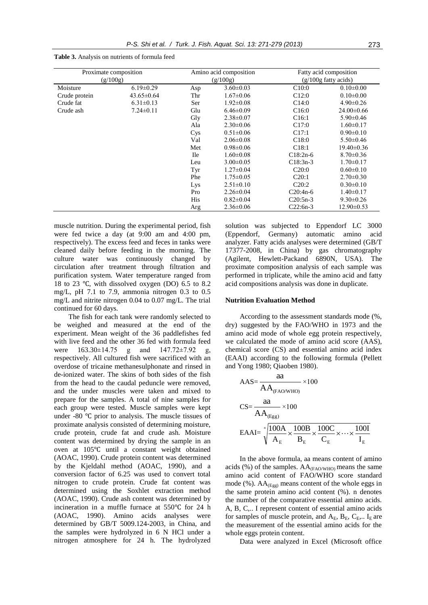| Proximate composition<br>(g/100g) |                  | Amino acid composition<br>(g/100g) |                 | Fatty acid composition<br>$(g/100g$ fatty acids) |                  |
|-----------------------------------|------------------|------------------------------------|-----------------|--------------------------------------------------|------------------|
| Moisture                          | $6.19 \pm 0.29$  | Asp                                | $3.60 \pm 0.03$ | C10:0                                            | $0.10 \pm 0.00$  |
| Crude protein                     | $43.65 \pm 0.64$ | Thr                                | $1.67 \pm 0.06$ | C12:0                                            | $0.10 \pm 0.00$  |
| Crude fat                         | $6.31 \pm 0.13$  | Ser                                | $1.92 \pm 0.08$ | C14:0                                            | $4.90 \pm 0.26$  |
| Crude ash                         | $7.24 \pm 0.11$  | Glu                                | $6.46 \pm 0.09$ | C16:0                                            | $24.00\pm0.66$   |
|                                   |                  | Gly                                | $2.38 \pm 0.07$ | C16:1                                            | $5.90 \pm 0.46$  |
|                                   |                  | Ala                                | $2.30\pm0.06$   | C17:0                                            | $1.60 \pm 0.17$  |
|                                   |                  | Cys                                | $0.51 \pm 0.06$ | C17:1                                            | $0.90 \pm 0.10$  |
|                                   |                  | Val                                | $2.06 \pm 0.08$ | C18:0                                            | $5.50 \pm 0.46$  |
|                                   |                  | Met                                | $0.98 \pm 0.06$ | C18:1                                            | $19.40 \pm 0.36$ |
|                                   |                  | <b>Ile</b>                         | $1.60 \pm 0.08$ | $C18:2n-6$                                       | $8.70 \pm 0.36$  |
|                                   |                  | Leu                                | $3.00 \pm 0.05$ | $C18:3n-3$                                       | $1.70 \pm 0.17$  |
|                                   |                  | Tyr                                | $1.27 \pm 0.04$ | C20:0                                            | $0.60 \pm 0.10$  |
|                                   |                  | Phe                                | $1.75 \pm 0.05$ | C20:1                                            | $2.70 \pm 0.30$  |
|                                   |                  | Lys                                | $2.51 \pm 0.10$ | C20:2                                            | $0.30 \pm 0.10$  |
|                                   |                  | Pro                                | $2.26 \pm 0.04$ | $C20:4n-6$                                       | $1.40 \pm 0.17$  |
|                                   |                  | His                                | $0.82 \pm 0.04$ | $C20:5n-3$                                       | $9.30 \pm 0.26$  |
|                                   |                  | Arg                                | $2.36 \pm 0.06$ | $C22:6n-3$                                       | $12.90 \pm 0.53$ |

**Table 3.** Analysis on nutrients of formula feed

muscle nutrition. During the experimental period, fish were fed twice a day (at 9:00 am and 4:00 pm, respectively). The excess feed and feces in tanks were cleaned daily before feeding in the morning. The culture water was continuously changed by circulation after treatment through filtration and purification system. Water temperature ranged from 18 to 23 ℃, with dissolved oxygen (DO) 6.5 to 8.2 mg/L, pH 7.1 to 7.9, ammonia nitrogen 0.3 to 0.5 mg/L and nitrite nitrogen 0.04 to 0.07 mg/L. The trial continued for 60 days.

The fish for each tank were randomly selected to be weighed and measured at the end of the experiment. Mean weight of the 36 paddlefishes fed with live feed and the other 36 fed with formula feed were 163.30±14.75 g and 147.72±7.92 g, respectively. All cultured fish were sacrificed with an overdose of tricaine methanesulphonate and rinsed in de-ionized water. The skins of both sides of the fish from the head to the caudal peduncle were removed, and the under muscles were taken and mixed to prepare for the samples. A total of nine samples for each group were tested. Muscle samples were kept under -80 ℃ prior to analysis. The muscle tissues of proximate analysis consisted of determining moisture, crude protein, crude fat and crude ash. Moisture content was determined by drying the sample in an oven at 105℃ until a constant weight obtained (AOAC, 1990). Crude protein content was determined by the Kjeldahl method (AOAC, 1990), and a conversion factor of 6.25 was used to convert total nitrogen to crude protein. Crude fat content was determined using the Soxhlet extraction method (AOAC, 1990). Crude ash content was determined by incineration in a muffle furnace at 550℃ for 24 h (AOAC, 1990). Amino acids analyses were determined by GB/T 5009.124-2003, in China, and the samples were hydrolyzed in 6 N HCl under a nitrogen atmosphere for 24 h. The hydrolyzed solution was subjected to Eppendorf LC 3000 (Eppendorf, Germany) automatic amino acid analyzer. Fatty acids analyses were determined (GB/T 17377-2008, in China) by gas chromatography (Agilent, Hewlett-Packand 6890N, USA). The proximate composition analysis of each sample was performed in triplicate, while the amino acid and fatty acid compositions analysis was done in duplicate.

#### **Nutrition Evaluation Method**

aa

According to the assessment standards mode (%, dry) suggested by the FAO/WHO in 1973 and the amino acid mode of whole egg protein respectively, we calculated the mode of amino acid score (AAS), chemical score (CS) and essential amino acid index (EAAI) according to the following formula (Pellett and Yong 1980; Qiaoben 1980).

$$
AAS = \frac{aa}{AA_{(FAO/WHO)}} \times 100
$$
  
\n
$$
CS = \frac{aa}{AA_{(Egg)}} \times 100
$$
  
\n
$$
EAAI = \sqrt[3]{\frac{100A}{A_E} \times \frac{100B}{B_E} \times \frac{100C}{C_E} \times \dots \times \frac{100I}{I_E}}
$$

In the above formula, aa means content of amino acids (%) of the samples.  $AA_{(FAO/WHO)}$  means the same amino acid content of FAO/WHO score standard mode (%).  $AA_{(Egg)}$  means content of the whole eggs in the same protein amino acid content (%). n denotes the number of the comparative essential amino acids. A, B, C,.. I represent content of essential amino acids for samples of muscle protein, and  $A_E$ ,  $B_E$ ,  $C_E$ ,.. I<sub>E</sub> are the measurement of the essential amino acids for the whole eggs protein content.

Data were analyzed in Excel (Microsoft office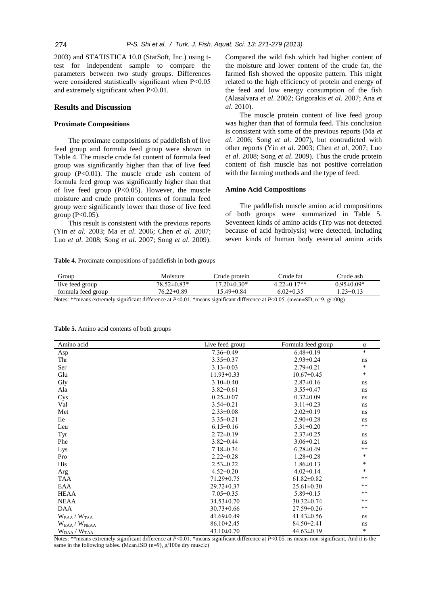2003) and STATISTICA 10.0 (StatSoft, Inc.) using ttest for independent sample to compare the parameters between two study groups. Differences were considered statistically significant when P<0.05 and extremely significant when P<0.01.

### **Results and Discussion**

#### **Proximate Compositions**

The proximate compositions of paddlefish of live feed group and formula feed group were shown in Table 4. The muscle crude fat content of formula feed group was significantly higher than that of live feed group  $(P<0.01)$ . The muscle crude ash content of formula feed group was significantly higher than that of live feed group  $(P<0.05)$ . However, the muscle moisture and crude protein contents of formula feed group were significantly lower than those of live feed group  $(P<0.05)$ .

This result is consistent with the previous reports (Yin *et al*. 2003; Ma *et al*. 2006; Chen *et al*. 2007; Luo *et al*. 2008; Song *et al*. 2007; Song *et al*. 2009).

Compared the wild fish which had higher content of the moisture and lower content of the crude fat, the farmed fish showed the opposite pattern. This might related to the high efficiency of protein and energy of the feed and low energy consumption of the fish (Alasalvara *et al*. 2002; Grigorakis *et al*. 2007; Ana *et al*. 2010).

The muscle protein content of live feed group was higher than that of formula feed. This conclusion is consistent with some of the previous reports (Ma *et al*. 2006; Song *et al*. 2007), but contradicted with other reports (Yin *et al*. 2003; Chen *et al*. 2007; Luo *et al*. 2008; Song *et al*. 2009). Thus the crude protein content of fish muscle has not positive correlation with the farming methods and the type of feed.

#### **Amino Acid Compositions**

The paddlefish muscle amino acid compositions of both groups were summarized in Table 5. Seventeen kinds of amino acids (Trp was not detected because of acid hydrolysis) were detected, including seven kinds of human body essential amino acids

**Table 4.** Proximate compositions of paddlefish in both groups

| Group                                                                                                                                  | Moisture         | rude protem_      | Crude fat         | Crude ash        |
|----------------------------------------------------------------------------------------------------------------------------------------|------------------|-------------------|-------------------|------------------|
| live feed group                                                                                                                        | $78.52\pm0.83*$  | $17.20 \pm 0.30*$ | $4.22 \pm 0.17**$ | $0.95 \pm 0.09*$ |
| formula feed group                                                                                                                     | $76.22 \pm 0.89$ | 15.49±0.84        | $6.02\pm0.35$     | .23 $\pm$ 0.13   |
| Notes: **means extremely significant difference at $P_0(0.1)$ *means significant difference at $P_0(0.05)$ (mean+SD, n=9, $g(10.00)$ ) |                  |                   |                   |                  |

| Notes: **means extremely significant difference at $P<0.01$ . *means significant difference at $P<0.05$ . (mean $\pm$ SD, n=9, g/100g) |  |  |
|----------------------------------------------------------------------------------------------------------------------------------------|--|--|
|----------------------------------------------------------------------------------------------------------------------------------------|--|--|

| Amino acid                      | Live feed group  | Formula feed group | $\alpha$ |
|---------------------------------|------------------|--------------------|----------|
| Asp                             | $7.36 \pm 0.49$  | $6.48 \pm 0.19$    | $\ast$   |
| Thr                             | $3.35 \pm 0.37$  | $2.93 \pm 0.24$    | ns       |
| Ser                             | $3.13 \pm 0.03$  | $2.79 \pm 0.21$    | $\ast$   |
| Glu                             | $11.93 \pm 0.33$ | $10.67 \pm 0.45$   | *        |
| Gly                             | $3.10\pm0.40$    | $2.87 \pm 0.16$    | ns       |
| Ala                             | $3.82 \pm 0.61$  | $3.55 \pm 0.47$    | ns       |
| Cys                             | $0.25 \pm 0.07$  | $0.32 \pm 0.09$    | ns       |
| Val                             | $3.54 \pm 0.21$  | $3.11 \pm 0.23$    | ns       |
| Met                             | $2.33 \pm 0.08$  | $2.02 \pm 0.19$    | ns       |
| <b>Ile</b>                      | $3.35 \pm 0.21$  | $2.90 \pm 0.28$    | ns       |
| Leu                             | $6.15 \pm 0.16$  | $5.31 \pm 0.20$    | $***$    |
| Tyr                             | $2.72 \pm 0.19$  | $2.37 \pm 0.25$    | ns       |
| Phe                             | $3.82 \pm 0.44$  | $3.06 \pm 0.21$    | ns       |
| Lys                             | $7.18 \pm 0.34$  | $6.28 \pm 0.49$    | $***$    |
| Pro                             | $2.22 \pm 0.28$  | $1.28 \pm 0.28$    | *        |
| His                             | $2.53 \pm 0.22$  | $1.86 \pm 0.13$    | *        |
| Arg                             | $4.52 \pm 0.20$  | $4.02 \pm 0.14$    | *        |
| TAA                             | $71.29 \pm 0.75$ | $61.82 \pm 0.82$   | $***$    |
| EAA                             | $29.72 \pm 0.37$ | $25.61 \pm 0.30$   | $***$    |
| <b>HEAA</b>                     | $7.05 \pm 0.35$  | $5.89 \pm 0.15$    | $***$    |
| <b>NEAA</b>                     | $34.53 \pm 0.70$ | $30.32 \pm 0.74$   | $***$    |
| <b>DAA</b>                      | $30.73 \pm 0.66$ | $27.59 \pm 0.26$   | $***$    |
| $W_{EAA} / W_{TAA}$             | $41.69 \pm 0.49$ | $41.43 \pm 0.56$   | ns       |
| $W_{EAA}$ / $W_{NEAA}$          | $86.10 \pm 2.45$ | $84.50 \pm 2.41$   | ns       |
| $W_{\text{DAA}}/W_{\text{TAA}}$ | $43.10 \pm 0.70$ | $44.63 \pm 0.19$   | *        |

**Table 5.** Amino acid contents of both groups

Notes: \*\*means extremely significant difference at *P*<0.01. \*means significant difference at *P*<0.05. ns means non-significant. And it is the same in the following tables. (Mean±SD (n=9), g/100g dry muscle)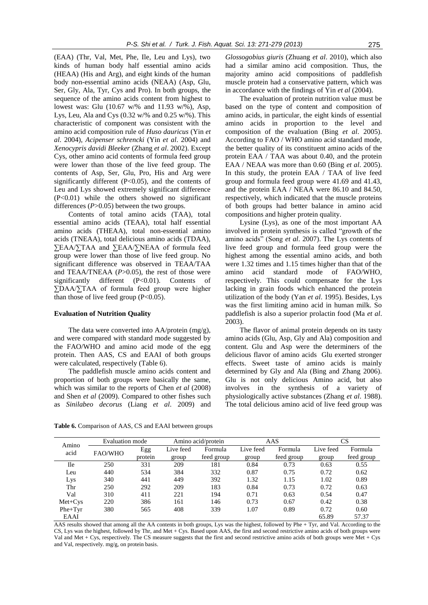(EAA) (Thr, Val, Met, Phe, Ile, Leu and Lys), two kinds of human body half essential amino acids (HEAA) (His and Arg), and eight kinds of the human body non-essential amino acids (NEAA) (Asp, Glu, Ser, Gly, Ala, Tyr, Cys and Pro). In both groups, the sequence of the amino acids content from highest to lowest was: Glu (10.67 w/% and 11.93 w/%), Asp, Lys, Leu, Ala and Cys (0.32 w/% and 0.25 w/%). This characteristic of component was consistent with the amino acid composition rule of *Huso dauricus* (Yin *et al*. 2004), *Acipenser schrencki* (Yin *et al*. 2004) and *Xenocypris davidi Bleeker* (Zhang *et al*. 2002). Except Cys, other amino acid contents of formula feed group were lower than those of the live feed group. The contents of Asp, Ser, Glu, Pro, His and Arg were significantly different (P<0.05), and the contents of Leu and Lys showed extremely significant difference (P<0.01) while the others showed no significant differences (*P*>0.05) between the two groups.

Contents of total amino acids (TAA), total essential amino acids (TEAA), total half essential amino acids (THEAA), total non-essential amino acids (TNEAA), total delicious amino acids (TDAA), ∑EAA/∑TAA and ∑EAA/∑NEAA of formula feed group were lower than those of live feed group. No significant difference was observed in TEAA/TAA and TEAA/TNEAA (*P*>0.05), the rest of those were significantly different (P<0.01). Contents of ∑DAA/∑TAA of formula feed group were higher than those of live feed group  $(P<0.05)$ .

#### **Evaluation of Nutrition Quality**

The data were converted into AA/protein (mg/g), and were compared with standard mode suggested by the FAO/WHO and amino acid mode of the egg protein. Then AAS, CS and EAAI of both groups were calculated, respectively (Table 6).

The paddlefish muscle amino acids content and proportion of both groups were basically the same, which was similar to the reports of Chen *et al* (2008) and Shen *et al* (2009). Compared to other fishes such as *Sinilabeo decorus* (Liang *et al*. 2009) and *Glossogobius giuris* (Zhuang *et al*. 2010), which also had a similar amino acid composition. Thus, the majority amino acid compositions of paddlefish muscle protein had a conservative pattern, which was in accordance with the findings of Yin *et al* (2004).

The evaluation of protein nutrition value must be based on the type of content and composition of amino acids, in particular, the eight kinds of essential amino acids in proportion to the level and composition of the evaluation (Bing *et al*. 2005). According to FAO / WHO amino acid standard mode, the better quality of its constituent amino acids of the protein EAA / TAA was about 0.40, and the protein EAA / NEAA was more than 0.60 (Bing *et al*. 2005). In this study, the protein EAA / TAA of live feed group and formula feed group were 41.69 and 41.43, and the protein EAA / NEAA were 86.10 and 84.50, respectively, which indicated that the muscle proteins of both groups had better balance in amino acid compositions and higher protein quality.

Lysine (Lys), as one of the most important AA involved in protein synthesis is called "growth of the amino acids" (Song *et al*. 2007). The Lys contents of live feed group and formula feed group were the highest among the essential amino acids, and both were 1.32 times and 1.15 times higher than that of the amino acid standard mode of FAO/WHO, respectively. This could compensate for the Lys lacking in grain foods which enhanced the protein utilization of the body (Yan *et al*. 1995). Besides, Lys was the first limiting amino acid in human milk. So paddlefish is also a superior prolactin food (Ma *et al*. 2003).

The flavor of animal protein depends on its tasty amino acids (Glu, Asp, Gly and Ala) composition and content. Glu and Asp were the determiners of the delicious flavor of amino acids Glu exerted stronger effects. Sweet taste of amino acids is mainly determined by Gly and Ala (Bing and Zhang 2006). Glu is not only delicious Amino acid, but also involves in the synthesis of a variety of physiologically active substances (Zhang *et al*. 1988). The total delicious amino acid of live feed group was

**Table 6.** Comparison of AAS, CS and EAAI between groups

| Amino<br>acid | Evaluation mode |         | Amino acid/protein |            | AAS       |            | CS        |            |
|---------------|-----------------|---------|--------------------|------------|-----------|------------|-----------|------------|
|               | FAO/WHO         | Egg     | Live feed          | Formula    | Live feed | Formula    | Live feed | Formula    |
|               |                 | protein | group              | feed group | group     | feed group | group     | feed group |
| <b>Ile</b>    | 250             | 331     | 209                | 181        | 0.84      | 0.73       | 0.63      | 0.55       |
| Leu           | 440             | 534     | 384                | 332        | 0.87      | 0.75       | 0.72      | 0.62       |
| Lys           | 340             | 441     | 449                | 392        | 1.32      | 1.15       | 1.02      | 0.89       |
| Thr           | 250             | 292     | 209                | 183        | 0.84      | 0.73       | 0.72      | 0.63       |
| Val           | 310             | 411     | 221                | 194        | 0.71      | 0.63       | 0.54      | 0.47       |
| $Met+Cys$     | 220             | 386     | 161                | 146        | 0.73      | 0.67       | 0.42      | 0.38       |
| $Phe+Tvr$     | 380             | 565     | 408                | 339        | 1.07      | 0.89       | 0.72      | 0.60       |
| EAAI          |                 |         |                    |            |           |            | 65.89     | 57.37      |

AAS results showed that among all the AA contents in both groups, Lys was the highest, followed by Phe + Tyr, and Val. According to the CS, Lys was the highest, followed by Thr, and Met + Cys. Based upon AAS, the first and second restrictive amino acids of both groups were Val and Met + Cys, respectively. The CS measure suggests that the first and second restrictive amino acids of both groups were Met + Cys and Val, respectively. mg/g, on protein basis.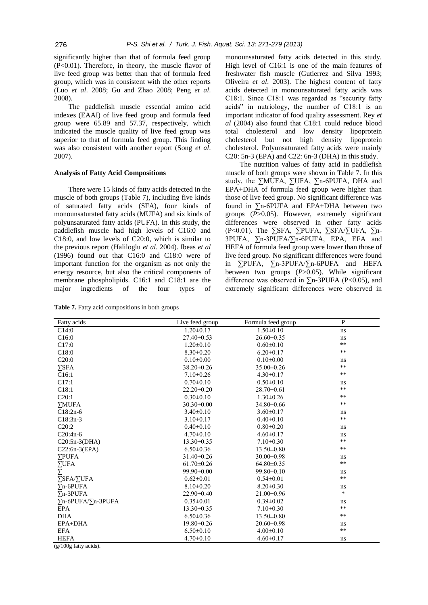significantly higher than that of formula feed group (P<0.01). Therefore, in theory, the muscle flavor of live feed group was better than that of formula feed group, which was in consistent with the other reports (Luo *et al*. 2008; Gu and Zhao 2008; Peng *et al*. 2008).

The paddlefish muscle essential amino acid indexes (EAAI) of live feed group and formula feed group were 65.89 and 57.37, respectively, which indicated the muscle quality of live feed group was superior to that of formula feed group. This finding was also consistent with another report (Song *et al*. 2007).

#### **Analysis of Fatty Acid Compositions**

There were 15 kinds of fatty acids detected in the muscle of both groups (Table 7), including five kinds of saturated fatty acids (SFA), four kinds of monounsaturated fatty acids (MUFA) and six kinds of polyunsaturated fatty acids (PUFA). In this study, the paddlefish muscle had high levels of C16:0 and C18:0, and low levels of C20:0, which is similar to the previous report (Haliloglu *et al*. 2004). Ibeas *et al* (1996) found out that C16:0 and C18:0 were of important [function](app:ds:vital%20function) for the organism as not only the energy resource, but also the critical components of membrane phospholipids. C16:1 and C18:1 are the major ingredients of the four types of

**Table 7.** Fatty acid compositions in both groups

monounsaturated fatty acids detected in this study. High level of C16:1 is one of the main features of freshwater fish muscle (Gutierrez and Silva 1993; Oliveira *et al*. 2003). The highest content of fatty acids detected in monounsaturated fatty acids was C18:1. Since C18:1 was regarded as "security fatty acids" in nutriology, the number of C18:1 is an important indicator of food quality assessment. Rey *et al* (2004) also found that C18:1 could reduce blood total cholesterol and low density lipoprotein cholesterol but not high density lipoprotein cholesterol. Polyunsaturated fatty acids were mainly C20: 5n-3 (EPA) and C22: 6n-3 (DHA) in this study.

The nutrition values of fatty acid in paddlefish muscle of both groups were shown in Table 7. In this study, the ∑MUFA, ∑UFA, ∑n-6PUFA, DHA and EPA+DHA of formula feed group were higher than those of live feed group. No significant difference was found in ∑n-6PUFA and EPA+DHA between two groups (*P*>0.05). However, extremely significant differences were observed in other fatty acids (P<0.01). The ∑SFA, ∑PUFA, ∑SFA/∑UFA, ∑n-3PUFA, ∑n-3PUFA/∑n-6PUFA, EPA, EFA and HEFA of formula feed group were lower than those of live feed group. No significant differences were found in ∑PUFA, ∑n-3PUFA/∑n-6PUFA and HEFA between two groups (*P*>0.05). While significant difference was observed in  $\Sigma$ n-3PUFA (P<0.05), and extremely significant differences were observed in

| Fatty acids                | Live feed group  | Formula feed group | ${\bf P}$ |
|----------------------------|------------------|--------------------|-----------|
| C14:0                      | $1.20 \pm 0.17$  | $1.50 \pm 0.10$    | ns        |
| C16:0                      | $27.40 \pm 0.53$ | $26.60 \pm 0.35$   | ns        |
| C17:0                      | $1.20 \pm 0.10$  | $0.60 \pm 0.10$    | $***$     |
| C18:0                      | $8.30 \pm 0.20$  | $6.20 \pm 0.17$    | $***$     |
| C20:0                      | $0.10 \pm 0.00$  | $0.10 \pm 0.00$    | ns        |
| $\Sigma$ SFA               | $38.20 \pm 0.26$ | $35.00 \pm 0.26$   | $***$     |
| C16:1                      | $7.10\pm0.26$    | $4.30\pm0.17$      | $***$     |
| C17:1                      | $0.70 \pm 0.10$  | $0.50 \pm 0.10$    | ns        |
| C18:1                      | $22.20\pm0.20$   | $28.70 \pm 0.61$   | $**$      |
| C20:1                      | $0.30 \pm 0.10$  | $1.30 \pm 0.26$    | $**$      |
| <b>YMUFA</b>               | $30.30 \pm 0.00$ | $34.80\pm0.66$     | $***$     |
| $C18:2n-6$                 | $3.40 \pm 0.10$  | $3.60 \pm 0.17$    | ns        |
| $C18:3n-3$                 | $3.10\pm0.17$    | $0.40 \pm 0.10$    | $***$     |
| C20:2                      | $0.40 \pm 0.10$  | $0.80 \pm 0.20$    | ns        |
| $C20:4n-6$                 | $4.70 \pm 0.10$  | $4.60 \pm 0.17$    | ns        |
| C20:5n-3(DHA)              | $13.30 \pm 0.35$ | $7.10 \pm 0.30$    | $**$      |
| $C22:6n-3(EPA)$            | $6.50 \pm 0.36$  | $13.50 \pm 0.80$   | $***$     |
| <b>SPUFA</b>               | $31.40 \pm 0.26$ | $30.00 \pm 0.98$   | ns        |
| $\Sigma$ UFA               | $61.70 \pm 0.26$ | $64.80\pm0.35$     | $***$     |
| Σ                          | $99.90 \pm 0.00$ | $99.80 \pm 0.10$   | ns        |
| $\Sigma$ SFA/ $\Sigma$ UFA | $0.62 \pm 0.01$  | $0.54 \pm 0.01$    | $***$     |
| $\sum n$ -6PUFA            | $8.10\pm0.20$    | $8.20 \pm 0.30$    | ns        |
| $\nabla$ n-3PUFA           | $22.90 \pm 0.40$ | $21.00 \pm 0.96$   | $\ast$    |
| ∑n-6PUFA/∑n-3PUFA          | $0.35 \pm 0.01$  | $0.39 \pm 0.02$    | ns        |
| <b>EPA</b>                 | $13.30\pm0.35$   | $7.10 \pm 0.30$    | $**$      |
| <b>DHA</b>                 | $6.50 \pm 0.36$  | $13.50 \pm 0.80$   | $**$      |
| EPA+DHA                    | $19.80 \pm 0.26$ | $20.60 \pm 0.98$   | ns.       |
| <b>EFA</b>                 | $6.50 \pm 0.10$  | $4.00 \pm 0.10$    | $***$     |
| <b>HEFA</b><br>$(100 - 1)$ | $4.70 \pm 0.10$  | $4.60 \pm 0.17$    | ns        |

 $(g/100g$  fatty acids).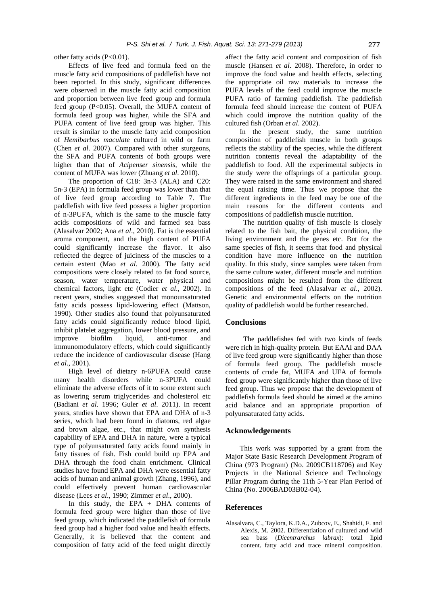other fatty acids (P<0.01).

Effects of live feed and formula feed on the muscle fatty acid compositions of paddlefish have not been reported. In this study, significant differences were observed in the muscle fatty acid composition and proportion between live feed group and formula feed group  $(P<0.05)$ . Overall, the MUFA content of formula feed group was higher, while the SFA and PUFA content of live feed group was higher. This result is similar to the muscle fatty acid composition of *Hemibarbus maculate* cultured in wild or farm (Chen *et al*. 2007). Compared with other sturgeons, the SFA and PUFA contents of both groups were higher than that of *Acipenser sinensis*, while the content of MUFA was lower (Zhuang *et al*. 2010).

The proportion of C18: 3n-3 (ALA) and C20: 5n-3 (EPA) in formula feed group was lower than that of live feed group according to Table 7. The paddlefish with live feed possess a higher proportion of n-3PUFA, which is the same to the muscle fatty acids compositions of wild and farmed sea bass (Alasalvar 2002; Ana *et al*., 2010). Fat is the essential aroma component, and the high content of PUFA could significantly increase the flavor. It also reflected the degree of juiciness of the muscles to a certain extent (Mao *et al*. 2000). The fatty acid compositions were closely related to fat food source, season, water temperature, water physical and chemical factors, light etc (Codier *et al*., 2002). In recent years, studies suggested that monounsaturated fatty acids possess lipid-lowering effect (Mattson, 1990). Other studies also found that polyunsaturated fatty acids could significantly reduce blood lipid, inhibit platelet aggregation, lower blood pressure, and improve biofilm liquid, anti-tumor and immunomodulatory effects, which could significantly reduce the incidence of cardiovascular disease (Hang *et al*., 2001).

High level of dietary n-6PUFA could cause many health disorders while n-3PUFA could eliminate the adverse effects of it to some extent such as lowering serum triglycerides and cholesterol etc (Badiani *et al*. 1996; Guler *et al*. 2011). In recent years, studies have shown that EPA and DHA of n-3 series, which had been found in diatoms, red algae and brown algae, etc., that might own synthesis capability of EPA and DHA in nature, were a typical type of polyunsaturated fatty acids found mainly in fatty tissues of fish. Fish could build up EPA and DHA through the food chain enrichment. Clinical studies have found EPA and DHA were essential fatty acids of human and animal growth (Zhang, 1996), and could effectively prevent human cardiovascular disease (Lees *et al*., 1990; Zimmer *et al*., 2000).

In this study, the EPA  $+$  DHA contents of formula feed group were higher than those of live feed group, which indicated the paddlefish of formula feed group had a higher food value and health effects. Generally, it is believed that the content and composition of fatty acid of the feed might directly

affect the fatty acid content and composition of fish muscle (Hansen *et al*. 2008). Therefore, in order to improve the food value and health effects, selecting the appropriate oil raw materials to [increase](app:ds:increase) the PUFA levels of the feed could improve the muscle PUFA ratio of farming paddlefish. The paddlefish formula feed should increase the content of PUFA which could improve the nutrition quality of the cultured fish (Orban *et al*. 2002).

In the present study, the same nutrition composition of paddlefish muscle in both groups reflects the stability of the species, while the different nutrition contents reveal the adaptability of the paddlefish to food. All the experimental subjects in the study were the offsprings of a particular group. They were raised in the same environment and shared the equal raising time. Thus we propose that the different ingredients in the feed may be one of the main reasons for the different contents and compositions of paddlefish muscle nutrition.

The nutrition quality of fish muscle is closely related to the fish bait, the physical condition, the living environment and the genes etc. But for the same species of fish, it seems that food and physical condition have more influence on the nutrition quality. In this study, since samples were taken from the same culture water, different muscle and nutrition compositions might be resulted from the different compositions of the feed (Alasalvar *et al*., 2002). Genetic and environmental effects on the nutrition quality of paddlefish would be further researched.

#### **Conclusions**

The paddlefishes fed with two kinds of feeds were rich in high-quality protein. But EAAI and DAA of live feed group were significantly higher than those of formula feed group. The paddlefish muscle contents of crude fat, MUFA and UFA of formula feed group were significantly higher than those of live feed group. Thus we propose that the development of paddlefish formula feed should be aimed at the amino acid balance and an appropriate proportion of polyunsaturated fatty acids.

#### **Acknowledgements**

This work was supported by a grant from the Major State Basic Research Development Program of China (973 Program) (No. 2009CB118706) and Key Projects in the National Science and Technology Pillar Program during the 11th 5-Year Plan Period of China (No. 2006BAD03B02-04).

#### **References**

Alasalvara, C., Taylora, K.D.A., Zubcov, E., Shahidi, F. and Alexis, M. 2002. Differentiation of cultured and wild sea bass (*Dicentrarchus labrax*): total lipid content, fatty acid and trace mineral composition.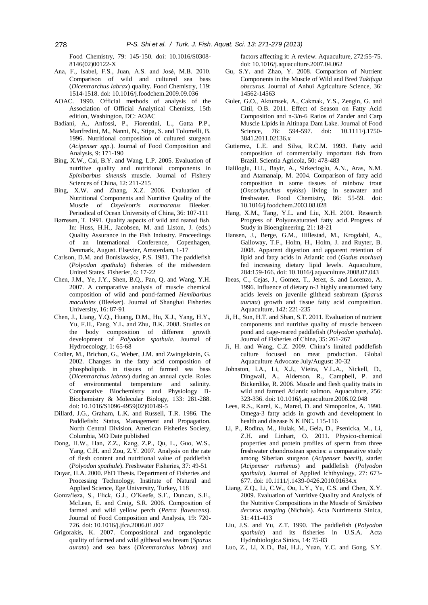Food Chemistry, 79: 145-150. doi: 10.1016/S0308- 8146(02)00122-X

- Ana, F., Isabel, F.S., Juan, A.S. and José, M.B. 2010. Comparison of wild and cultured sea bass (*Dicentrarchus labrax*) quality. Food Chemistry, 119: 1514-1518. doi: 10.1016/j.foodchem.2009.09.036
- AOAC. 1990. Official methods of analysis of the Association of Official Analytical Chemists, 15th edition, Washington, DC: AOAC
- Badiani, A., Anfossi, P., Fiorentini, L., Gatta P.P., Manfredini, M., Nanni, N., Stipa, S. and Tolomelli, B. 1996. Nutritional composition of cultured sturgeon (*Acipenser spp.*). Journal of Food Composition and Analysis, 9: 171-190
- Bing, X.W., Cai, B.Y. and Wang, L.P. 2005. Evaluation of nutritive quality and nutritional components in *Spinibarbus sinensis* muscle. Journal of Fishery Sciences of China, 12: 211-215
- Bing, X.W. and Zhang, X.Z. 2006. Evaluation of Nutritional Components and Nutritive Quality of the Muscle of *Oxyeleotris marmoratus* Bleeker. Periodical of Ocean University of China, 36: 107-111
- Børresen, T. 1991. Quality aspects of wild and reared fish. In: Huss, H.H., Jacobsen, M. and Liston, J. (eds.) Quality Assurance in the Fish Industry. Proceedings of an International Conference, Copenhagen, Denmark, August. Elsevier, Amsterdam, 1-17
- Carlson, D.M. and Bonislawsky, P.S. 1981. The paddlefish (*Polyodon spathula*) fisheries of the midwestern United States. Fisherier, 6: 17-22
- Chen, J.M., Ye, J.Y., Shen, B.Q., Pan, Q. and Wang, Y.H. 2007. A comparative analysis of muscle chemical composition of wild and pond-farmed *Hemibarbus maculates* (Bleeker). Journal of Shanghai Fisheries University, 16: 87-91
- Chen, J., Liang, Y.Q., Huang, D.M., Hu, X.J., Yang, H.Y., Yu, F.H., Fang, Y.L. and Zhu, B.K. 2008. Studies on the body composition of different growth development of *Polyodon spathula*. Journal of Hydroecology, 1: 65-68
- Codier, M., Brichon, G., Weber, J.M. and Zwingelstein, G. 2002. Changes in the fatty acid composition of phospholipids in tissues of farmed sea bass (*Dicentrarchus labrax*) during an annual cycle. Roles of environmental temperature and salinity. Comparative Biochemistry and Physiology B-Biochemistry & Molecular Biology, 133: 281-288. doi: 10.1016/S1096-4959(02)00149-5
- Dillard, J.G., Graham, L.K. and Russell, T.R. 1986. The Paddlefish: Status, Management and Propagation. North Central Division, American Fisheries Society, Columbia, MO Date published
- Dong, H.W., Han, Z.Z., Kang, Z.P., Qu, L., Guo, W.S., Yang, C.H. and Zou, Z.Y. 2007. Analysis on the rate of flesh content and nutritional value of paddlefish (*Polyodon spathule*). Freshwater Fisheries, 37: 49-51
- Duyar, H.A. 2000. PhD Thesis. Department of Fisheries and Processing Technology, Institute of Natural and Applied Science, Ege University, Turkey, 118
- Gonza′leza, S., Flick, G.J., O'Keefe, S.F., Duncan, S.E., McLean, E. and Craig, S.R. 2006. Composition of farmed and wild yellow perch (*Perca flavescens*). Journal of Food Composition and Analysis, 19: 720- 726. doi: 10.1016/j.jfca.2006.01.007
- Grigorakis, K. 2007. Compositional and organoleptic quality of farmed and wild gilthead sea bream (*Sparus aurata*) and sea bass (*Dicentrarchus labrax*) and

factors affecting it: A review. Aquaculture, 272:55-75. doi: 10.1016/j.aquaculture.2007.04.062

- Gu, S.Y. and Zhao, Y. 2008. Comparison of Nutrient Components in the Muscle of Wild and Bred *Takifugu obscurus*. Journal of Anhui Agriculture Science, 36: 14562-14563
- Guler, G.O., Aktumsek, A., Cakmak, Y.S., Zengin, G. and Citil, O.B. 2011. Effect of Season on Fatty Acid Composition and n-3/n-6 Ratios of Zander and Carp Muscle Lipids in Altinapa Dam Lake. Journal of Food Science, 76: 594-597. doi: 10.1111/j.1750-3841.2011.02136.x
- Gutierrez, L.E. and Silva, R.C.M. 1993. Fatty acid composition of commercially important fish from Brazil. Scientia Agricola, 50: 478-483
- Haliloglu, H.I., Bayir, A., Sirkecioglu, A.N., Aras, N.M. and Atamanalp, M. 2004. Comparison of fatty acid composition in some tissues of rainbow trout (*Oncorhynchus mykiss*) living in seawater and freshwater. Food Chemistry, 86: 55-59. doi: 10.1016/j.foodchem.2003.08.028
- Hang, X.M., Tang, Y.L. and Liu, X.H. 2001. Research Progress of Polyunsaturated fatty acid. Progress of Study in Bioengineering, 21: 18-21
- Hansen, J., Berge, G.M., Hillestad, M., Krogdahl, A., Galloway, T.F., Holm, H., Holm, J. and Ruyter, B. 2008. Apparent digestion and apparent retention of lipid and fatty acids in Atlantic cod (*Gadus morhua*) fed increasing dietary lipid levels. Aquaculture, 284:159-166. doi: 10.1016/j.aquaculture.2008.07.043
- Ibeas, C., Cejas, J., Gomez, T., Jerez, S. and Lorenzo, A. 1996. Influence of dietary n-3 highly unsaturated fatty acids levels on juvenile gilthead seabream (*Sparus aurata*) growth and tissue fatty acid composition. Aquaculture, 142: 221-235
- Ji, H., Sun, H.T. and Shan, S.T. 2011. Evaluation of nutrient components and nutritive quality of muscle between pond and cage-reared paddlefish (*Polyodon spathula*). Journal of Fisheries of China, 35: 261-267
- Ji, H. and Wang, C.Z. 2009. China's limited paddlefish culture focused on meat production. Global Aquaculture Advocate July/August: 30-32
- Johnston, I.A., Li, X.J., Vieira, V.L.A., Nickell, D., Dingwall, A., Alderson, R., Campbell, P. and Bickerdike, R. 2006. Muscle and flesh quality traits in wild and farmed Atlantic salmon. Aquaculture, 256: 323-336. doi: 10.1016/j.aquaculture.2006.02.048
- Lees, R.S., Karel, K., Mared, D. and Simoponlos, A. 1990. Omega-3 fatty acids in growth and development in health and disease N K INC. 115-116
- Li, P., Rodina, M., Hulak, M., Gela, D., Psenicka, M., Li, Z.H. and Linhart, O. 2011. Physico-chemical properties and protein profiles of sperm from three freshwater chondrostean species: a comparative study among Siberian sturgeon (*Acipenser baerii*), starlet (*Acipenser ruthenus*) and paddlefish (*Polyodon spathula*). Journal of Applied Ichthyology, 27: 673- 677. doi: 10.1111/j.1439-0426.2010.01634.x
- Liang, Z.Q., Li, C.W., Ou, L.Y., Yu, C.S. and Chen, X.Y. 2009. Evaluation of Nutritive Quality and Analysis of the Nutritive Compositions in the Muscle of *Sinilabeo decorus tungting* (Nichols). Acta Nutrimenta Sinica, 31: 411-413
- Liu, J.S. and Yu, Z.T. 1990. The paddlefish (*Polyodon spathula*) and its fisheries in U.S.A. Acta Hydrobiologica Sinica, 14: 75-83
- Luo, Z., Li, X.D., Bai, H.J., Yuan, Y.C. and Gong, S.Y.